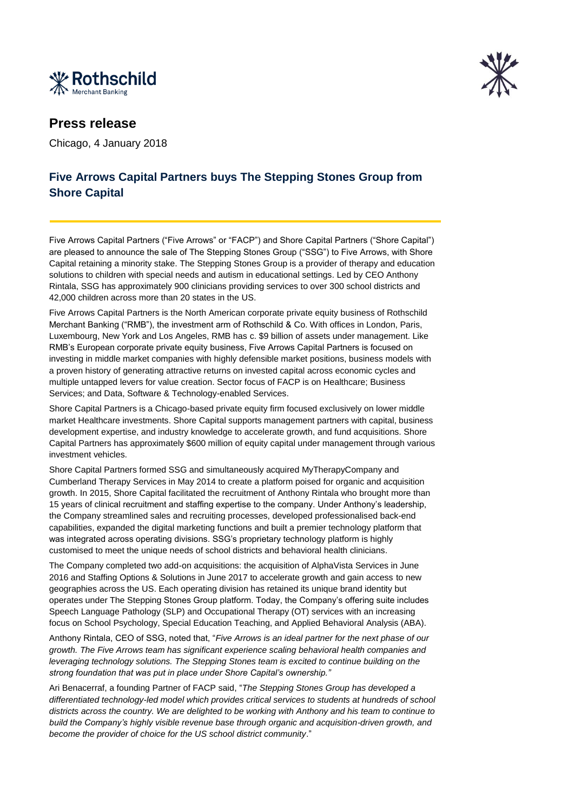



## **Press release**

Chicago, 4 January 2018

## **Five Arrows Capital Partners buys The Stepping Stones Group from Shore Capital**

Five Arrows Capital Partners ("Five Arrows" or "FACP") and Shore Capital Partners ("Shore Capital") are pleased to announce the sale of The Stepping Stones Group ("SSG") to Five Arrows, with Shore Capital retaining a minority stake. The Stepping Stones Group is a provider of therapy and education solutions to children with special needs and autism in educational settings. Led by CEO Anthony Rintala, SSG has approximately 900 clinicians providing services to over 300 school districts and 42,000 children across more than 20 states in the US.

Five Arrows Capital Partners is the North American corporate private equity business of Rothschild Merchant Banking ("RMB"), the investment arm of Rothschild & Co. With offices in London, Paris, Luxembourg, New York and Los Angeles, RMB has c. \$9 billion of assets under management. Like RMB's European corporate private equity business, Five Arrows Capital Partners is focused on investing in middle market companies with highly defensible market positions, business models with a proven history of generating attractive returns on invested capital across economic cycles and multiple untapped levers for value creation. Sector focus of FACP is on Healthcare; Business Services; and Data, Software & Technology-enabled Services.

Shore Capital Partners is a Chicago-based private equity firm focused exclusively on lower middle market Healthcare investments. Shore Capital supports management partners with capital, business development expertise, and industry knowledge to accelerate growth, and fund acquisitions. Shore Capital Partners has approximately \$600 million of equity capital under management through various investment vehicles.

Shore Capital Partners formed SSG and simultaneously acquired MyTherapyCompany and Cumberland Therapy Services in May 2014 to create a platform poised for organic and acquisition growth. In 2015, Shore Capital facilitated the recruitment of Anthony Rintala who brought more than 15 years of clinical recruitment and staffing expertise to the company. Under Anthony's leadership, the Company streamlined sales and recruiting processes, developed professionalised back-end capabilities, expanded the digital marketing functions and built a premier technology platform that was integrated across operating divisions. SSG's proprietary technology platform is highly customised to meet the unique needs of school districts and behavioral health clinicians.

The Company completed two add-on acquisitions: the acquisition of AlphaVista Services in June 2016 and Staffing Options & Solutions in June 2017 to accelerate growth and gain access to new geographies across the US. Each operating division has retained its unique brand identity but operates under The Stepping Stones Group platform. Today, the Company's offering suite includes Speech Language Pathology (SLP) and Occupational Therapy (OT) services with an increasing focus on School Psychology, Special Education Teaching, and Applied Behavioral Analysis (ABA).

Anthony Rintala, CEO of SSG, noted that, "*Five Arrows is an ideal partner for the next phase of our growth. The Five Arrows team has significant experience scaling behavioral health companies and leveraging technology solutions. The Stepping Stones team is excited to continue building on the strong foundation that was put in place under Shore Capital's ownership."*

Ari Benacerraf, a founding Partner of FACP said, "*The Stepping Stones Group has developed a differentiated technology-led model which provides critical services to students at hundreds of school districts across the country. We are delighted to be working with Anthony and his team to continue to build the Company's highly visible revenue base through organic and acquisition-driven growth, and become the provider of choice for the US school district community*."